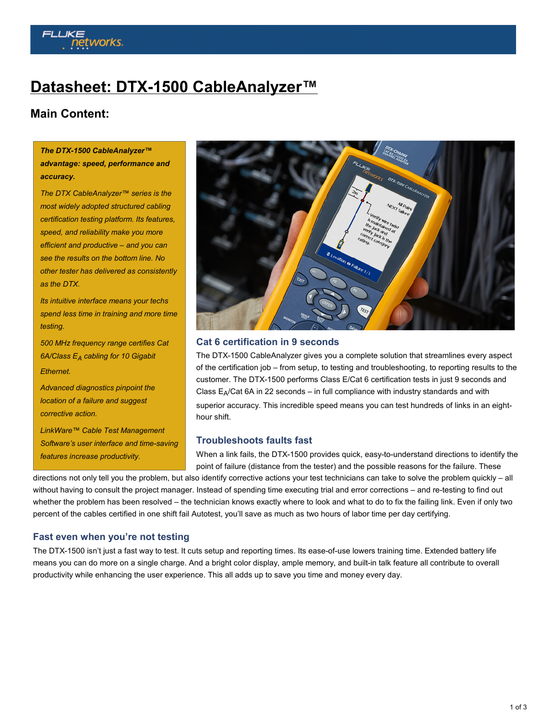# **works**

## **[Datasheet: DTX-1500 CableAnalyzer™](http://www.flukenetworks.com/content/datasheet-dtx-1500-cableanalyzer)**

### **Main Content:**

#### *The DTX-1500 CableAnalyzer™ advantage: speed, performance and accuracy.*

*The DTX CableAnalyzer™ series is the most widely adopted structured cabling certification testing platform. Its features, speed, and reliability make you more efficient and productive – and you can see the results on the bottom line. No other tester has delivered as consistently as the DTX.*

*Its intuitive interface means your techs spend less time in training and more time testing.*

*500 MHz frequency range certifies Cat 6A/Class EA cabling for 10 Gigabit Ethernet.*

*Advanced diagnostics pinpoint the location of a failure and suggest corrective action.*

*LinkWare™ Cable Test Management Software's user interface and time-saving features increase productivity.*



#### **Cat 6 certification in 9 seconds**

The DTX-1500 CableAnalyzer gives you a complete solution that streamlines every aspect of the certification job – from setup, to testing and troubleshooting, to reporting results to the customer. The DTX-1500 performs Class E/Cat 6 certification tests in just 9 seconds and Class  $E_A/Cat$  6A in 22 seconds – in full compliance with industry standards and with superior accuracy. This incredible speed means you can test hundreds of links in an eighthour shift.

#### **Troubleshoots faults fast**

When a link fails, the DTX-1500 provides quick, easy-to-understand directions to identify the point of failure (distance from the tester) and the possible reasons for the failure. These

directions not only tell you the problem, but also identify corrective actions your test technicians can take to solve the problem quickly - all without having to consult the project manager. Instead of spending time executing trial and error corrections – and re-testing to find out whether the problem has been resolved – the technician knows exactly where to look and what to do to fix the failing link. Even if only two percent of the cables certified in one shift fail Autotest, you'll save as much as two hours of labor time per day certifying.

#### **Fast even when you're not testing**

The DTX-1500 isn't just a fast way to test. It cuts setup and reporting times. Its ease-of-use lowers training time. Extended battery life means you can do more on a single charge. And a bright color display, ample memory, and built-in talk feature all contribute to overall productivity while enhancing the user experience. This all adds up to save you time and money every day.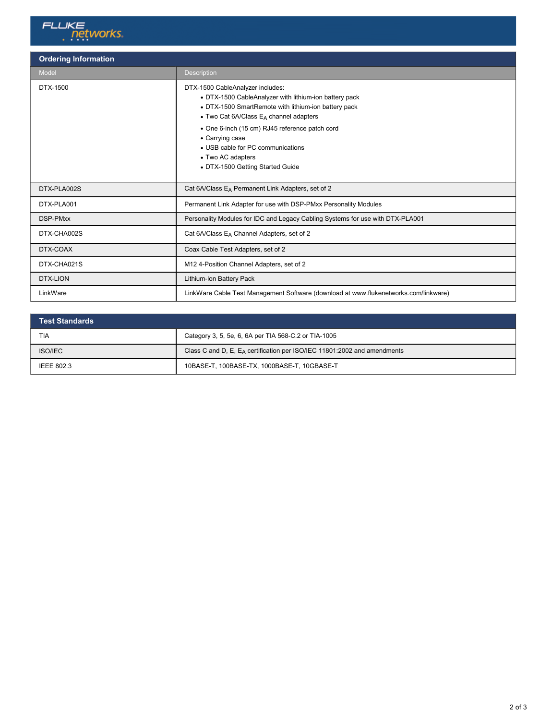

| <b>Ordering Information</b> |                                                                                                                                                                                                                                                                                                                                                                            |  |
|-----------------------------|----------------------------------------------------------------------------------------------------------------------------------------------------------------------------------------------------------------------------------------------------------------------------------------------------------------------------------------------------------------------------|--|
| Model                       | <b>Description</b>                                                                                                                                                                                                                                                                                                                                                         |  |
| DTX-1500                    | DTX-1500 CableAnalyzer includes:<br>• DTX-1500 CableAnalyzer with lithium-ion battery pack<br>• DTX-1500 SmartRemote with lithium-ion battery pack<br>$\bullet$ Two Cat 6A/Class $E_A$ channel adapters<br>• One 6-inch (15 cm) RJ45 reference patch cord<br>• Carrying case<br>• USB cable for PC communications<br>• Two AC adapters<br>• DTX-1500 Getting Started Guide |  |
| DTX-PLA002S                 | Cat 6A/Class E <sub>A</sub> Permanent Link Adapters, set of 2                                                                                                                                                                                                                                                                                                              |  |
| DTX-PLA001                  | Permanent Link Adapter for use with DSP-PMxx Personality Modules                                                                                                                                                                                                                                                                                                           |  |
| <b>DSP-PMxx</b>             | Personality Modules for IDC and Legacy Cabling Systems for use with DTX-PLA001                                                                                                                                                                                                                                                                                             |  |
| DTX-CHA002S                 | Cat 6A/Class E <sub>A</sub> Channel Adapters, set of 2                                                                                                                                                                                                                                                                                                                     |  |
| DTX-COAX                    | Coax Cable Test Adapters, set of 2                                                                                                                                                                                                                                                                                                                                         |  |
| DTX-CHA021S                 | M12 4-Position Channel Adapters, set of 2                                                                                                                                                                                                                                                                                                                                  |  |
| DTX-LION                    | Lithium-Ion Battery Pack                                                                                                                                                                                                                                                                                                                                                   |  |
| LinkWare                    | LinkWare Cable Test Management Software (download at www.flukenetworks.com/linkware)                                                                                                                                                                                                                                                                                       |  |

| <b>Test Standards</b> |                                                                             |
|-----------------------|-----------------------------------------------------------------------------|
| TIA                   | Category 3, 5, 5e, 6, 6A per TIA 568-C.2 or TIA-1005                        |
| <b>ISO/IEC</b>        | Class C and D, E, $E_A$ certification per ISO/IEC 11801:2002 and amendments |
| <b>IEEE 802.3</b>     | 10BASE-T, 100BASE-TX, 1000BASE-T, 10GBASE-T                                 |